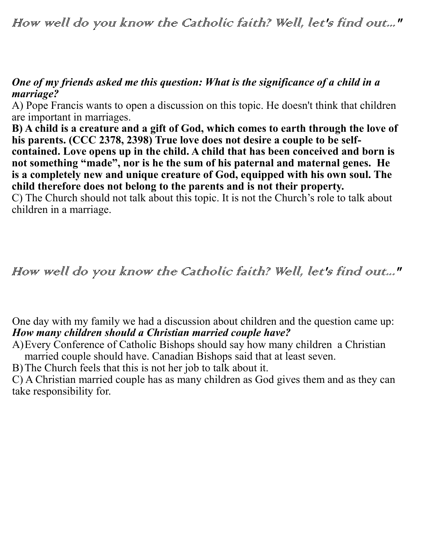How well do you know the Catholic faith? Well, let's find out..."

## *One of my friends asked me this question: What is the significance of a child in a marriage?*

A) Pope Francis wants to open a discussion on this topic. He doesn't think that children are important in marriages.

**B) A child is a creature and a gift of God, which comes to earth through the love of his parents. (CCC 2378, 2398) True love does not desire a couple to be selfcontained. Love opens up in the child. A child that has been conceived and born is not something "made", nor is he the sum of his paternal and maternal genes. He is a completely new and unique creature of God, equipped with his own soul. The child therefore does not belong to the parents and is not their property.**

C) The Church should not talk about this topic. It is not the Church's role to talk about children in a marriage.

## How well do you know the Catholic faith? Well, let's find out..."

One day with my family we had a discussion about children and the question came up: *How many children should a Christian married couple have?*

A)Every Conference of Catholic Bishops should say how many children a Christian married couple should have. Canadian Bishops said that at least seven.

B)The Church feels that this is not her job to talk about it.

C) A Christian married couple has as many children as God gives them and as they can take responsibility for.